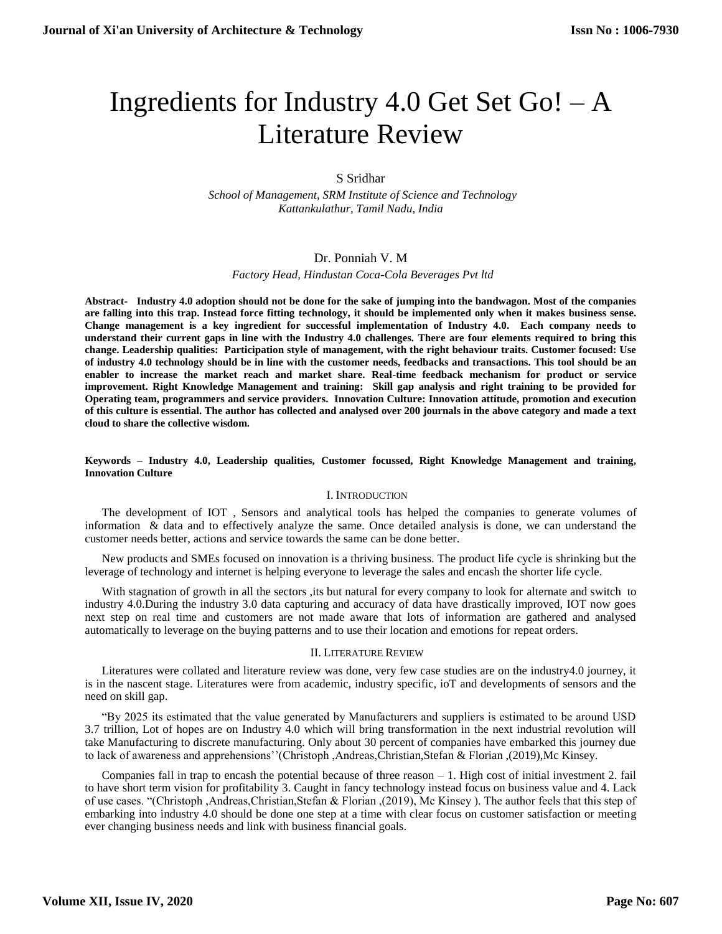# Ingredients for Industry 4.0 Get Set Go! – A Literature Review

# S Sridhar

 *School of Management, SRM Institute of Science and Technology Kattankulathur, Tamil Nadu, India*

## Dr. Ponniah V. M

 *Factory Head, Hindustan Coca-Cola Beverages Pvt ltd*

**Abstract- Industry 4.0 adoption should not be done for the sake of jumping into the bandwagon. Most of the companies are falling into this trap. Instead force fitting technology, it should be implemented only when it makes business sense. Change management is a key ingredient for successful implementation of Industry 4.0. Each company needs to understand their current gaps in line with the Industry 4.0 challenges. There are four elements required to bring this change. Leadership qualities: Participation style of management, with the right behaviour traits. Customer focused: Use of industry 4.0 technology should be in line with the customer needs, feedbacks and transactions. This tool should be an enabler to increase the market reach and market share. Real-time feedback mechanism for product or service improvement. Right Knowledge Management and training: Skill gap analysis and right training to be provided for Operating team, programmers and service providers. Innovation Culture: Innovation attitude, promotion and execution of this culture is essential. The author has collected and analysed over 200 journals in the above category and made a text cloud to share the collective wisdom.**

#### **Keywords – Industry 4.0, Leadership qualities, Customer focussed, Right Knowledge Management and training, Innovation Culture**

#### I. INTRODUCTION

The development of IOT , Sensors and analytical tools has helped the companies to generate volumes of information & data and to effectively analyze the same. Once detailed analysis is done, we can understand the customer needs better, actions and service towards the same can be done better.

New products and SMEs focused on innovation is a thriving business. The product life cycle is shrinking but the leverage of technology and internet is helping everyone to leverage the sales and encash the shorter life cycle.

With stagnation of growth in all the sectors , its but natural for every company to look for alternate and switch to industry 4.0.During the industry 3.0 data capturing and accuracy of data have drastically improved, IOT now goes next step on real time and customers are not made aware that lots of information are gathered and analysed automatically to leverage on the buying patterns and to use their location and emotions for repeat orders.

#### II. LITERATURE REVIEW

Literatures were collated and literature review was done, very few case studies are on the industry4.0 journey, it is in the nascent stage. Literatures were from academic, industry specific, ioT and developments of sensors and the need on skill gap.

"By 2025 its estimated that the value generated by Manufacturers and suppliers is estimated to be around USD 3.7 trillion, Lot of hopes are on Industry 4.0 which will bring transformation in the next industrial revolution will take Manufacturing to discrete manufacturing. Only about 30 percent of companies have embarked this journey due to lack of awareness and apprehensions''(Christoph ,Andreas,Christian,Stefan & Florian ,(2019),Mc Kinsey.

Companies fall in trap to encash the potential because of three reason – 1. High cost of initial investment 2. fail to have short term vision for profitability 3. Caught in fancy technology instead focus on business value and 4. Lack of use cases. "(Christoph ,Andreas,Christian,Stefan & Florian ,(2019), Mc Kinsey ). The author feels that this step of embarking into industry 4.0 should be done one step at a time with clear focus on customer satisfaction or meeting ever changing business needs and link with business financial goals.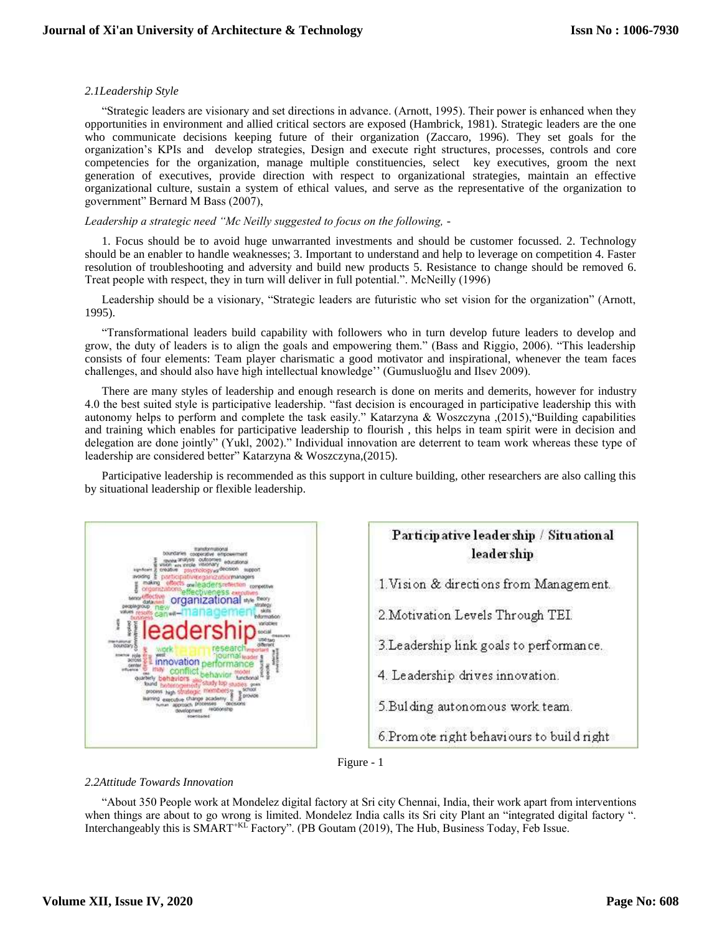## *2.1Leadership Style*

"Strategic leaders are visionary and set directions in advance. (Arnott, 1995). Their power is enhanced when they opportunities in environment and allied critical sectors are exposed (Hambrick, 1981). Strategic leaders are the one who communicate decisions keeping future of their organization (Zaccaro, 1996). They set goals for the organization's KPIs and develop strategies, Design and execute right structures, processes, controls and core competencies for the organization, manage multiple constituencies, select key executives, groom the next generation of executives, provide direction with respect to organizational strategies, maintain an effective organizational culture, sustain a system of ethical values, and serve as the representative of the organization to government" Bernard M Bass (2007),

## *Leadership a strategic need "Mc Neilly suggested to focus on the following, -*

1. Focus should be to avoid huge unwarranted investments and should be customer focussed. 2. Technology should be an enabler to handle weaknesses; 3. Important to understand and help to leverage on competition 4. Faster resolution of troubleshooting and adversity and build new products 5. Resistance to change should be removed 6. Treat people with respect, they in turn will deliver in full potential.". McNeilly (1996)

Leadership should be a visionary, "Strategic leaders are futuristic who set vision for the organization" (Arnott, 1995).

"Transformational leaders build capability with followers who in turn develop future leaders to develop and grow, the duty of leaders is to align the goals and empowering them." (Bass and Riggio, 2006). "This leadership consists of four elements: Team player charismatic a good motivator and inspirational, whenever the team faces challenges, and should also have high intellectual knowledge'' (Gumusluoğlu and Ilsev 2009).

There are many styles of leadership and enough research is done on merits and demerits, however for industry 4.0 the best suited style is participative leadership. "fast decision is encouraged in participative leadership this with autonomy helps to perform and complete the task easily." Katarzyna & Woszczyna ,(2015),"Building capabilities and training which enables for participative leadership to flourish , this helps in team spirit were in decision and delegation are done jointly" (Yukl, 2002)." Individual innovation are deterrent to team work whereas these type of leadership are considered better" Katarzyna & Woszczyna,(2015).

Participative leadership is recommended as this support in culture building, other researchers are also calling this by situational leadership or flexible leadership.







# *2.2Attitude Towards Innovation*

"About 350 People work at Mondelez digital factory at Sri city Chennai, India, their work apart from interventions when things are about to go wrong is limited. Mondelez India calls its Sri city Plant an "integrated digital factory ". Interchangeably this is SMART<sup>+KL</sup> Factory". (PB Goutam (2019), The Hub, Business Today, Feb Issue.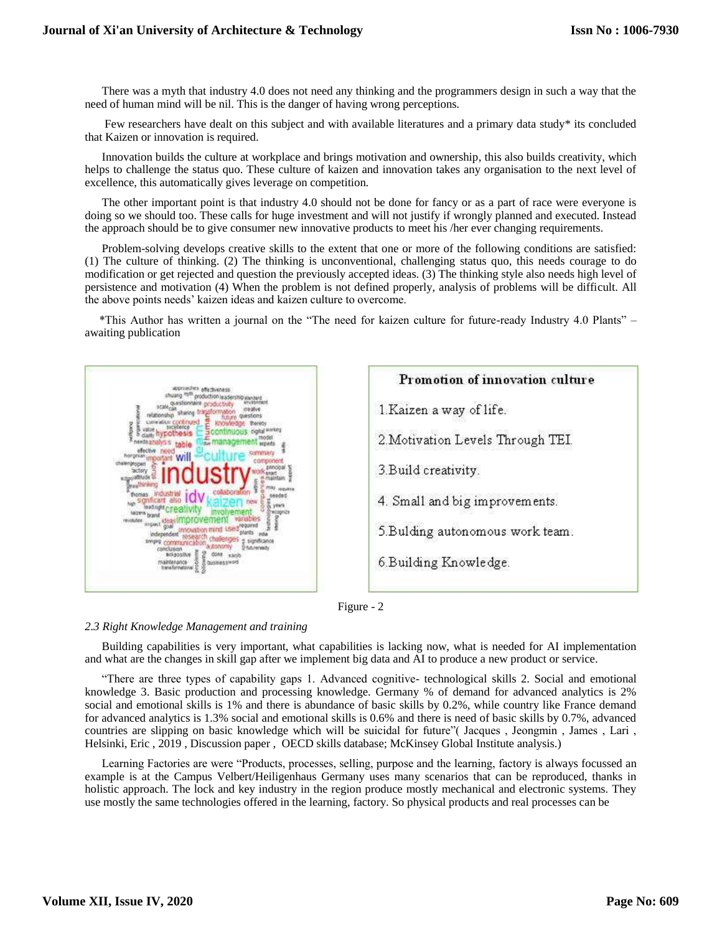There was a myth that industry 4.0 does not need any thinking and the programmers design in such a way that the need of human mind will be nil. This is the danger of having wrong perceptions.

Few researchers have dealt on this subject and with available literatures and a primary data study\* its concluded that Kaizen or innovation is required.

Innovation builds the culture at workplace and brings motivation and ownership, this also builds creativity, which helps to challenge the status quo. These culture of kaizen and innovation takes any organisation to the next level of excellence, this automatically gives leverage on competition.

The other important point is that industry 4.0 should not be done for fancy or as a part of race were everyone is doing so we should too. These calls for huge investment and will not justify if wrongly planned and executed. Instead the approach should be to give consumer new innovative products to meet his /her ever changing requirements.

Problem-solving develops creative skills to the extent that one or more of the following conditions are satisfied: (1) The culture of thinking. (2) The thinking is unconventional, challenging status quo, this needs courage to do modification or get rejected and question the previously accepted ideas. (3) The thinking style also needs high level of persistence and motivation (4) When the problem is not defined properly, analysis of problems will be difficult. All the above points needs' kaizen ideas and kaizen culture to overcome.

 \*This Author has written a journal on the "The need for kaizen culture for future-ready Industry 4.0 Plants" – awaiting publication







## *2.3 Right Knowledge Management and training*

Building capabilities is very important, what capabilities is lacking now, what is needed for AI implementation and what are the changes in skill gap after we implement big data and AI to produce a new product or service.

"There are three types of capability gaps 1. Advanced cognitive- technological skills 2. Social and emotional knowledge 3. Basic production and processing knowledge. Germany % of demand for advanced analytics is 2% social and emotional skills is 1% and there is abundance of basic skills by 0.2%, while country like France demand for advanced analytics is 1.3% social and emotional skills is 0.6% and there is need of basic skills by 0.7%, advanced countries are slipping on basic knowledge which will be suicidal for future"( Jacques , Jeongmin , James , Lari , Helsinki, Eric , 2019 , Discussion paper , OECD skills database; McKinsey Global Institute analysis.)

Learning Factories are were "Products, processes, selling, purpose and the learning, factory is always focussed an example is at the Campus Velbert/Heiligenhaus Germany uses many scenarios that can be reproduced, thanks in holistic approach. The lock and key industry in the region produce mostly mechanical and electronic systems. They use mostly the same technologies offered in the learning, factory. So physical products and real processes can be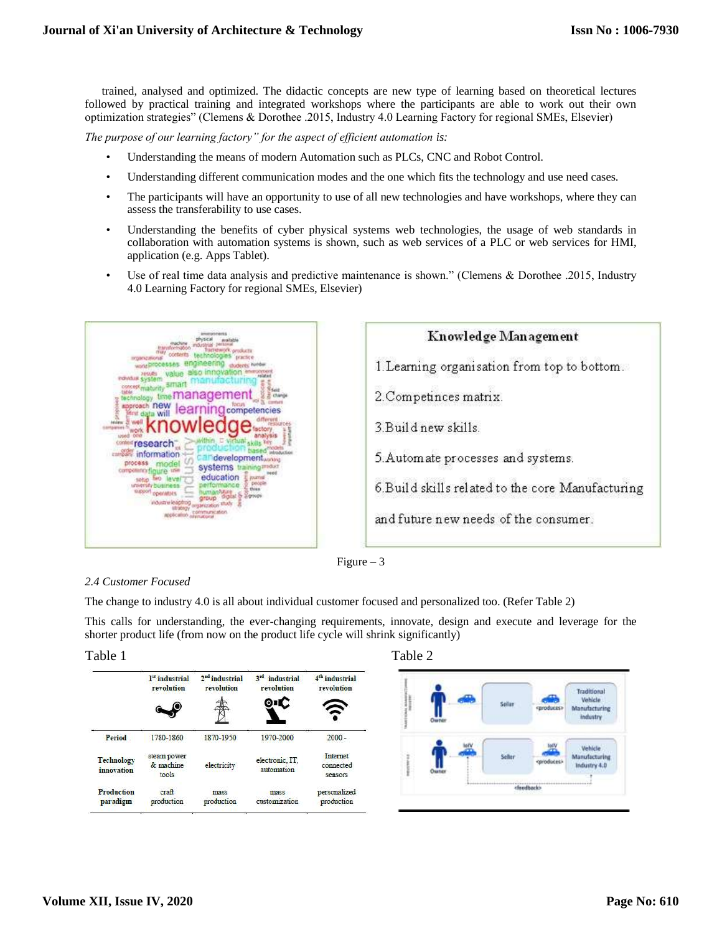trained, analysed and optimized. The didactic concepts are new type of learning based on theoretical lectures followed by practical training and integrated workshops where the participants are able to work out their own optimization strategies" (Clemens & Dorothee .2015, Industry 4.0 Learning Factory for regional SMEs, Elsevier)

*The purpose of our learning factory" for the aspect of efficient automation is:*

- Understanding the means of modern Automation such as PLCs, CNC and Robot Control.
- Understanding different communication modes and the one which fits the technology and use need cases.
- The participants will have an opportunity to use of all new technologies and have workshops, where they can assess the transferability to use cases.
- Understanding the benefits of cyber physical systems web technologies, the usage of web standards in collaboration with automation systems is shown, such as web services of a PLC or web services for HMI, application (e.g. Apps Tablet).
- Use of real time data analysis and predictive maintenance is shown." (Clemens & Dorothee .2015, Industry 4.0 Learning Factory for regional SMEs, Elsevier)



| Knowledge Management                              |
|---------------------------------------------------|
| 1. Learning organisation from top to bottom.      |
| 2. Competinces matrix.                            |
| 3 Build new skills.                               |
| 5. Automate processes and systems.                |
| 6. Build skills related to the core Manufacturing |
| and future new needs of the consumer.             |



# *2.4 Customer Focused*

The change to industry 4.0 is all about individual customer focused and personalized too. (Refer Table 2)

This calls for understanding, the ever-changing requirements, innovate, design and execute and leverage for the shorter product life (from now on the product life cycle will shrink significantly)

|                               | l <sup>"</sup> industrial<br>revolution | 2 <sup>nd</sup> industrial<br>revolution | 3rd industrial<br>revolution<br>0 I C | 4 <sup>th</sup> industrial<br>revolution |
|-------------------------------|-----------------------------------------|------------------------------------------|---------------------------------------|------------------------------------------|
| Period                        | 1780-1860                               | 1870-1950                                | 1970-2000                             | $2000 -$                                 |
| Technology<br>innovation      | steam power<br>& machine<br>tools       | electricity                              | electronic, IT.<br>automation         | Internet<br>connected<br>sensors         |
| <b>Production</b><br>paradigm | cr <sub>an</sub><br>production          | mass<br>production                       | mass<br>customization                 | personalized<br>production               |



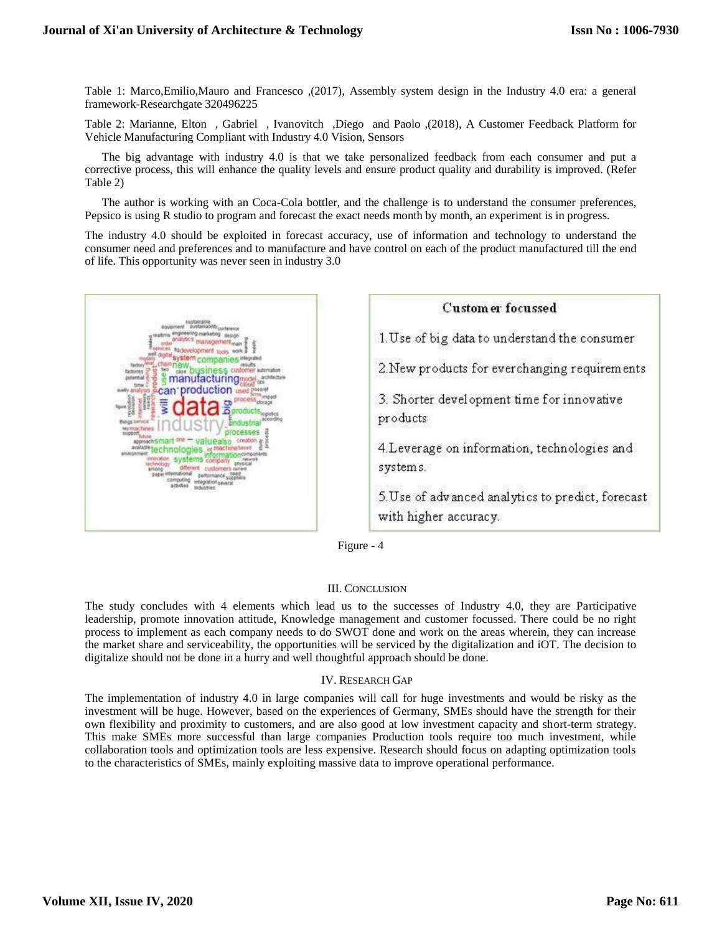Table 1: Marco,Emilio,Mauro and Francesco ,(2017), Assembly system design in the Industry 4.0 era: a general framework-Researchgate 320496225

Table 2: Marianne, Elton , Gabriel , Ivanovitch ,Diego and Paolo ,(2018), A Customer Feedback Platform for Vehicle Manufacturing Compliant with Industry 4.0 Vision, Sensors

The big advantage with industry 4.0 is that we take personalized feedback from each consumer and put a corrective process, this will enhance the quality levels and ensure product quality and durability is improved. (Refer Table 2)

The author is working with an Coca-Cola bottler, and the challenge is to understand the consumer preferences, Pepsico is using R studio to program and forecast the exact needs month by month, an experiment is in progress.

The industry 4.0 should be exploited in forecast accuracy, use of information and technology to understand the consumer need and preferences and to manufacture and have control on each of the product manufactured till the end of life. This opportunity was never seen in industry 3.0





Figure - 4

## III. CONCLUSION

The study concludes with 4 elements which lead us to the successes of Industry 4.0, they are Participative leadership, promote innovation attitude, Knowledge management and customer focussed. There could be no right process to implement as each company needs to do SWOT done and work on the areas wherein, they can increase the market share and serviceability, the opportunities will be serviced by the digitalization and iOT. The decision to digitalize should not be done in a hurry and well thoughtful approach should be done.

## IV. RESEARCH GAP

The implementation of industry 4.0 in large companies will call for huge investments and would be risky as the investment will be huge. However, based on the experiences of Germany, SMEs should have the strength for their own flexibility and proximity to customers, and are also good at low investment capacity and short-term strategy. This make SMEs more successful than large companies Production tools require too much investment, while collaboration tools and optimization tools are less expensive. Research should focus on adapting optimization tools to the characteristics of SMEs, mainly exploiting massive data to improve operational performance.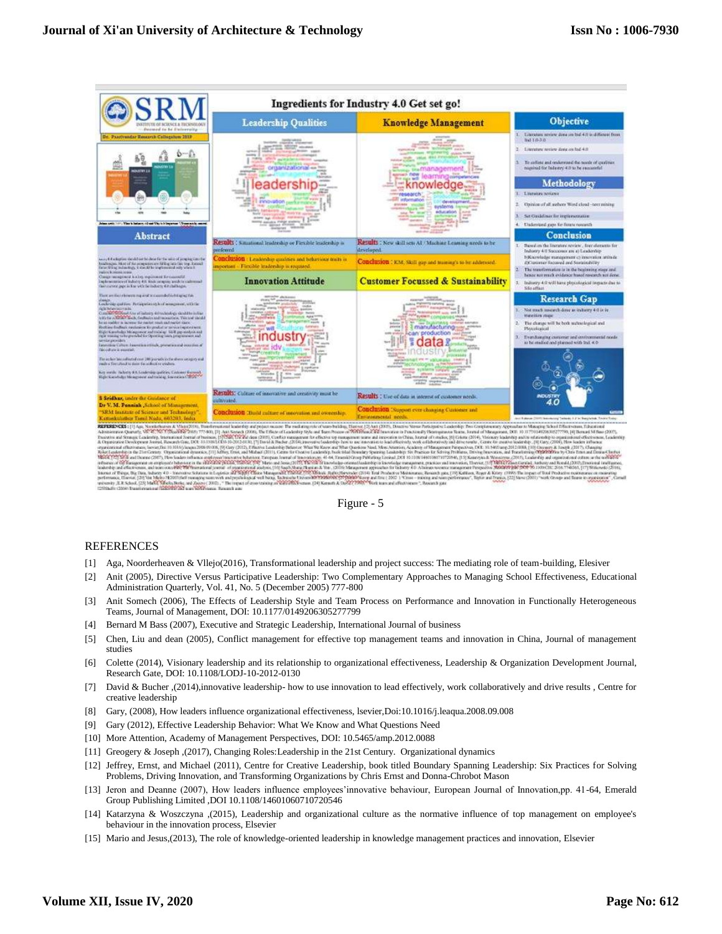



#### REFERENCES

- [1] Aga, Noorderheaven & Vllejo(2016), Transformational leadership and project success: The mediating role of team-building, Elesiver
- [2] Anit (2005), Directive Versus Participative Leadership: Two Complementary Approaches to Managing School Effectiveness, Educational Administration Quarterly, Vol. 41, No. 5 (December 2005) 777-800
- [3] Anit Somech (2006), The Effects of Leadership Style and Team Process on Performance and Innovation in Functionally Heterogeneous Teams, Journal of Management, DOI: 10.1177/0149206305277799
- [4] Bernard M Bass (2007), Executive and Strategic Leadership, International Journal of business
- [5] Chen, Liu and dean (2005), Conflict management for effective top management teams and innovation in China, Journal of management studies
- [6] Colette (2014), Visionary leadership and its relationship to organizational effectiveness, Leadership & Organization Development Journal, Research Gate, DOI: 10.1108/LODJ-10-2012-0130
- [7] David & Bucher ,(2014),innovative leadership- how to use innovation to lead effectively, work collaboratively and drive results , Centre for creative leadership
- [8] Gary, (2008), How leaders influence organizational effectiveness, lsevier,Doi:10.1016/j.leaqua.2008.09.008
- [9] Gary (2012), Effective Leadership Behavior: What We Know and What Questions Need
- [10] More Attention, Academy of Management Perspectives, DOI: 10.5465/amp.2012.0088
- [11] Greogery & Joseph ,(2017), Changing Roles:Leadership in the 21st Century. Organizational dynamics
- [12] Jeffrey, Ernst, and Michael (2011), Centre for Creative Leadership, book titled Boundary Spanning Leadership: Six Practices for Solving Problems, Driving Innovation, and Transforming Organizations by Chris Ernst and Donna-Chrobot Mason
- [13] Jeron and Deanne (2007), How leaders influence employees'innovative behaviour, European Journal of Innovation,pp. 41-64, Emerald Group Publishing Limited ,DOI 10.1108/14601060710720546
- [14] Katarzyna & Woszczyna ,(2015), Leadership and organizational culture as the normative influence of top management on employee's behaviour in the innovation process, Elsevier
- [15] Mario and Jesus,(2013), The role of knowledge-oriented leadership in knowledge management practices and innovation, Elsevier